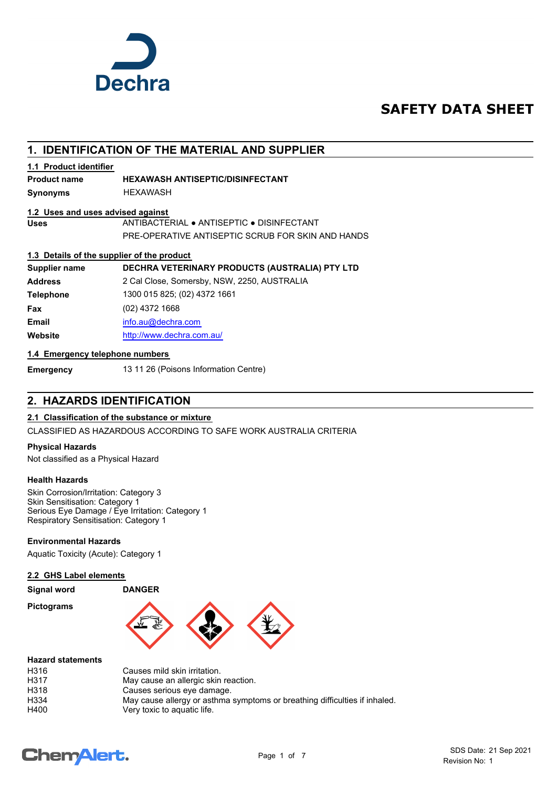

## **SAFETY DATA SHEET**

## **1. IDENTIFICATION OF THE MATERIAL AND SUPPLIER**

#### **1.1 Product identifier**

#### **Product name HEXAWASH ANTISEPTIC/DISINFECTANT**

**Synonyms** HEXAWASH

#### **1.2 Uses and uses advised against**

**Uses** ANTIBACTERIAL ● ANTISEPTIC ● DISINFECTANT PRE-OPERATIVE ANTISEPTIC SCRUB FOR SKIN AND HANDS

#### **1.3 Details of the supplier of the product**

| Supplier name    | DECHRA VETERINARY PRODUCTS (AUSTRALIA) PTY LTD |
|------------------|------------------------------------------------|
| <b>Address</b>   | 2 Cal Close, Somersby, NSW, 2250, AUSTRALIA    |
| <b>Telephone</b> | 1300 015 825; (02) 4372 1661                   |
| Fax              | $(02)$ 4372 1668                               |
| <b>Email</b>     | info.au@dechra.com                             |
| Website          | http://www.dechra.com.au/                      |

#### **1.4 Emergency telephone numbers**

**Emergency** 13 11 26 (Poisons Information Centre)

## **2. HAZARDS IDENTIFICATION**

#### **2.1 Classification of the substance or mixture**

CLASSIFIED AS HAZARDOUS ACCORDING TO SAFE WORK AUSTRALIA CRITERIA

#### **Physical Hazards**

Not classified as a Physical Hazard

#### **Health Hazards**

Skin Corrosion/Irritation: Category 3 Skin Sensitisation: Category 1 Serious Eye Damage / Eye Irritation: Category 1 Respiratory Sensitisation: Category 1

#### **Environmental Hazards**

Aquatic Toxicity (Acute): Category 1

#### **2.2 GHS Label elements**

#### **Signal word DANGER**

**Pictograms**



#### **Hazard statements**

| Causes mild skin irritation.                                               |
|----------------------------------------------------------------------------|
| May cause an allergic skin reaction.                                       |
| Causes serious eye damage.                                                 |
| May cause allergy or asthma symptoms or breathing difficulties if inhaled. |
| Very toxic to aguatic life.                                                |
|                                                                            |

# **ChemAlert.**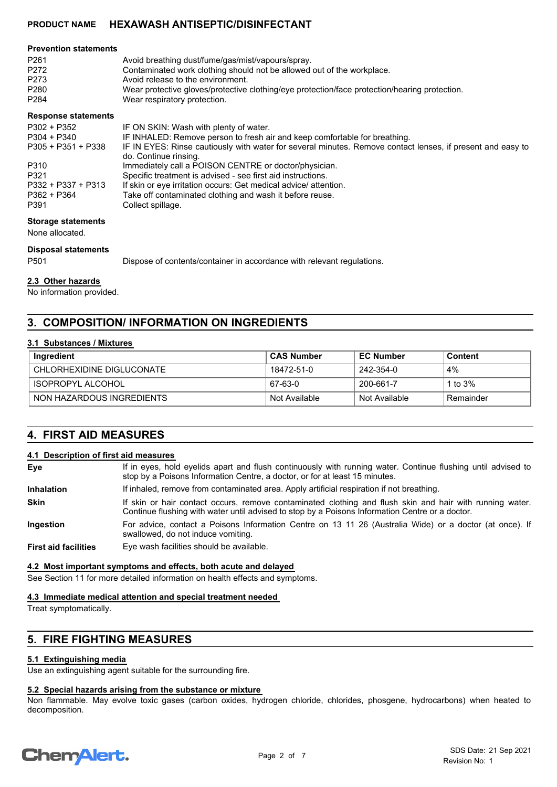| <b>Prevention statements</b> |                                                                                                                                                                                                                                                                                                  |
|------------------------------|--------------------------------------------------------------------------------------------------------------------------------------------------------------------------------------------------------------------------------------------------------------------------------------------------|
| P <sub>261</sub>             | Avoid breathing dust/fume/gas/mist/vapours/spray.                                                                                                                                                                                                                                                |
| P272                         | Contaminated work clothing should not be allowed out of the workplace.                                                                                                                                                                                                                           |
| P273                         | Avoid release to the environment.                                                                                                                                                                                                                                                                |
| P280                         | Wear protective gloves/protective clothing/eye protection/face protection/hearing protection.                                                                                                                                                                                                    |
| P284                         | Wear respiratory protection.                                                                                                                                                                                                                                                                     |
| <b>Response statements</b>   |                                                                                                                                                                                                                                                                                                  |
| P302 + P352                  | IF ON SKIN: Wash with plenty of water.                                                                                                                                                                                                                                                           |
| <b>DOOL</b> DOID             | $\mathbf{r}$ and $\mathbf{r}$ and $\mathbf{r}$ and $\mathbf{r}$ and $\mathbf{r}$ and $\mathbf{r}$ and $\mathbf{r}$ and $\mathbf{r}$ and $\mathbf{r}$ and $\mathbf{r}$ and $\mathbf{r}$ and $\mathbf{r}$ and $\mathbf{r}$ and $\mathbf{r}$ and $\mathbf{r}$ and $\mathbf{r}$ and $\mathbf{r}$ and |

| <b>LOUL T LOUL</b>   | IF ON SKIN. WASH WILL DIGHTY OF WALGE.                                                                     |
|----------------------|------------------------------------------------------------------------------------------------------------|
| $P304 + P340$        | IF INHALED: Remove person to fresh air and keep comfortable for breathing.                                 |
| $P305 + P351 + P338$ | IF IN EYES: Rinse cautiously with water for several minutes. Remove contact lenses, if present and easy to |
|                      | do. Continue rinsing.                                                                                      |
| P310                 | Immediately call a POISON CENTRE or doctor/physician.                                                      |
| P321                 | Specific treatment is advised - see first aid instructions.                                                |
| P332 + P337 + P313   | If skin or eye irritation occurs: Get medical advice/ attention.                                           |
| $P362 + P364$        | Take off contaminated clothing and wash it before reuse.                                                   |
| P391                 | Collect spillage.                                                                                          |
|                      |                                                                                                            |

#### **Storage statements**

None allocated.

#### **Disposal statements**

P501 Dispose of contents/container in accordance with relevant regulations.

#### **2.3 Other hazards**

No information provided.

## **3. COMPOSITION/ INFORMATION ON INGREDIENTS**

#### **3.1 Substances / Mixtures**

| Ingredient                | <b>CAS Number</b> | <b>EC Number</b> | <b>Content</b> |
|---------------------------|-------------------|------------------|----------------|
| CHLORHEXIDINE DIGLUCONATE | 18472-51-0        | 242-354-0        | 4%             |
| ISOPROPYL ALCOHOL         | 67-63-0           | 200-661-7        | 1 to $3\%$     |
| NON HAZARDOUS INGREDIENTS | Not Available     | Not Available    | Remainder      |

## **4. FIRST AID MEASURES**

#### **4.1 Description of first aid measures**

| Eye                         | If in eyes, hold eyelids apart and flush continuously with running water. Continue flushing until advised to<br>stop by a Poisons Information Centre, a doctor, or for at least 15 minutes.                 |  |
|-----------------------------|-------------------------------------------------------------------------------------------------------------------------------------------------------------------------------------------------------------|--|
| <b>Inhalation</b>           | If inhaled, remove from contaminated area. Apply artificial respiration if not breathing.                                                                                                                   |  |
| <b>Skin</b>                 | If skin or hair contact occurs, remove contaminated clothing and flush skin and hair with running water.<br>Continue flushing with water until advised to stop by a Poisons Information Centre or a doctor. |  |
| Ingestion                   | For advice, contact a Poisons Information Centre on 13 11 26 (Australia Wide) or a doctor (at once). If<br>swallowed, do not induce vomiting.                                                               |  |
| <b>First aid facilities</b> | Eye wash facilities should be available.                                                                                                                                                                    |  |

#### **4.2 Most important symptoms and effects, both acute and delayed**

See Section 11 for more detailed information on health effects and symptoms.

#### **4.3 Immediate medical attention and special treatment needed**

Treat symptomatically.

## **5. FIRE FIGHTING MEASURES**

#### **5.1 Extinguishing media**

Use an extinguishing agent suitable for the surrounding fire.

#### **5.2 Special hazards arising from the substance or mixture**

Non flammable. May evolve toxic gases (carbon oxides, hydrogen chloride, chlorides, phosgene, hydrocarbons) when heated to decomposition.

# **ChemAlert.**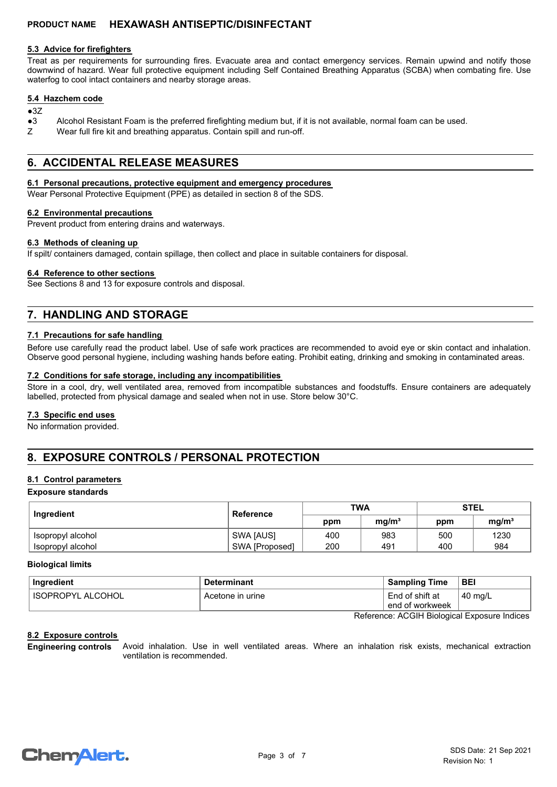#### **5.3 Advice for firefighters**

Treat as per requirements for surrounding fires. Evacuate area and contact emergency services. Remain upwind and notify those downwind of hazard. Wear full protective equipment including Self Contained Breathing Apparatus (SCBA) when combating fire. Use waterfog to cool intact containers and nearby storage areas.

#### **5.4 Hazchem code**

#### $•37$

- ●3 Alcohol Resistant Foam is the preferred firefighting medium but, if it is not available, normal foam can be used.
- Z Wear full fire kit and breathing apparatus. Contain spill and run-off.

## **6. ACCIDENTAL RELEASE MEASURES**

#### **6.1 Personal precautions, protective equipment and emergency procedures**

Wear Personal Protective Equipment (PPE) as detailed in section 8 of the SDS.

#### **6.2 Environmental precautions**

Prevent product from entering drains and waterways.

#### **6.3 Methods of cleaning up**

If spilt/ containers damaged, contain spillage, then collect and place in suitable containers for disposal.

#### **6.4 Reference to other sections**

See Sections 8 and 13 for exposure controls and disposal.

## **7. HANDLING AND STORAGE**

#### **7.1 Precautions for safe handling**

Before use carefully read the product label. Use of safe work practices are recommended to avoid eye or skin contact and inhalation. Observe good personal hygiene, including washing hands before eating. Prohibit eating, drinking and smoking in contaminated areas.

#### **7.2 Conditions for safe storage, including any incompatibilities**

Store in a cool, dry, well ventilated area, removed from incompatible substances and foodstuffs. Ensure containers are adequately labelled, protected from physical damage and sealed when not in use. Store below 30°C.

#### **7.3 Specific end uses**

No information provided.

## **8. EXPOSURE CONTROLS / PERSONAL PROTECTION**

#### **8.1 Control parameters**

#### **Exposure standards**

| Ingredient        | Reference      | <b>TWA</b> |                   | <b>STEL</b> |                   |
|-------------------|----------------|------------|-------------------|-------------|-------------------|
|                   |                | ppm        | mq/m <sup>3</sup> | ppm         | mq/m <sup>3</sup> |
| isopropyl alcohol | SWA [AUS]      | 400        | 983               | 500         | 1230              |
| Isopropyl alcohol | SWA [Proposed] | 200        | 491               | 400         | 984               |

#### **Biological limits**

| Ingredient               | <b>Determinant</b> | <b>Sampling Time</b>               | <b>BEI</b>        |
|--------------------------|--------------------|------------------------------------|-------------------|
| <b>ISOPROPYL ALCOHOL</b> | Acetone in urine   | End of shift at<br>end of workweek | $40 \text{ mg/L}$ |

Reference: ACGIH Biological Exposure Indices

#### **8.2 Exposure controls**

Avoid inhalation. Use in well ventilated areas. Where an inhalation risk exists, mechanical extraction ventilation is recommended. **Engineering controls**

# **ChemAlert.**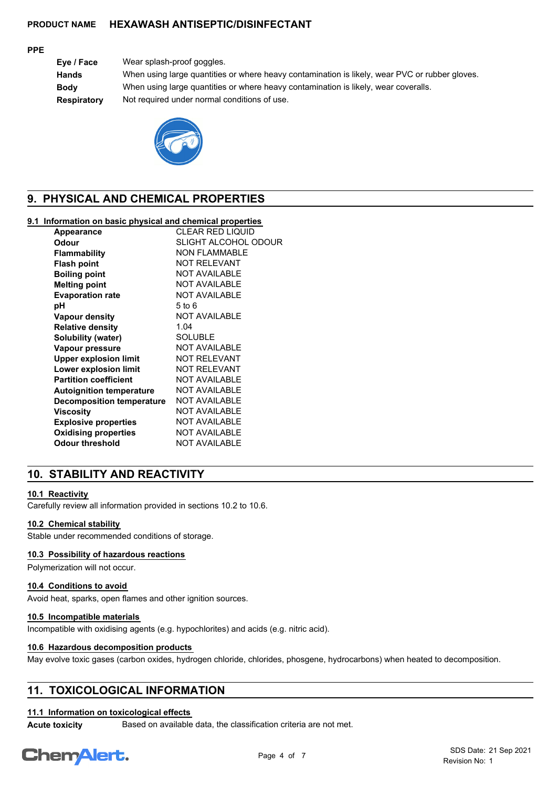#### **PPE**

**Eye / Face** Wear splash-proof goggles. **Hands** When using large quantities or where heavy contamination is likely, wear PVC or rubber gloves. **Body** When using large quantities or where heavy contamination is likely, wear coveralls. **Respiratory** Not required under normal conditions of use.



## **9. PHYSICAL AND CHEMICAL PROPERTIES**

#### **9.1 Information on basic physical and chemical properties**

| Appearance                       | <b>CLEAR RED LIQUID</b> |
|----------------------------------|-------------------------|
| Odour                            | SLIGHT ALCOHOL ODOUR    |
| <b>Flammability</b>              | <b>NON FLAMMABLE</b>    |
| <b>Flash point</b>               | <b>NOT RELEVANT</b>     |
| <b>Boiling point</b>             | <b>NOT AVAILABLE</b>    |
| <b>Melting point</b>             | <b>NOT AVAILABLE</b>    |
| <b>Evaporation rate</b>          | <b>NOT AVAILABLE</b>    |
| рH                               | $5$ to $6$              |
| <b>Vapour density</b>            | <b>NOT AVAILABLE</b>    |
| <b>Relative density</b>          | 1.04                    |
| Solubility (water)               | <b>SOLUBLE</b>          |
| Vapour pressure                  | <b>NOT AVAILABLE</b>    |
| <b>Upper explosion limit</b>     | <b>NOT RELEVANT</b>     |
| Lower explosion limit            | <b>NOT RELEVANT</b>     |
| <b>Partition coefficient</b>     | <b>NOT AVAILABLE</b>    |
| <b>Autoignition temperature</b>  | <b>NOT AVAILABLE</b>    |
| <b>Decomposition temperature</b> | <b>NOT AVAILABLE</b>    |
| Viscosity                        | <b>NOT AVAILABLE</b>    |
| <b>Explosive properties</b>      | <b>NOT AVAILABLE</b>    |
| <b>Oxidising properties</b>      | <b>NOT AVAILABLE</b>    |
| <b>Odour threshold</b>           | <b>NOT AVAILABLE</b>    |
|                                  |                         |

## **10. STABILITY AND REACTIVITY**

#### **10.1 Reactivity**

Carefully review all information provided in sections 10.2 to 10.6.

#### **10.2 Chemical stability**

Stable under recommended conditions of storage.

#### **10.3 Possibility of hazardous reactions**

Polymerization will not occur.

#### **10.4 Conditions to avoid**

Avoid heat, sparks, open flames and other ignition sources.

#### **10.5 Incompatible materials**

Incompatible with oxidising agents (e.g. hypochlorites) and acids (e.g. nitric acid).

#### **10.6 Hazardous decomposition products**

May evolve toxic gases (carbon oxides, hydrogen chloride, chlorides, phosgene, hydrocarbons) when heated to decomposition.

## **11. TOXICOLOGICAL INFORMATION**

#### **11.1 Information on toxicological effects**

**Acute toxicity** Based on available data, the classification criteria are not met.

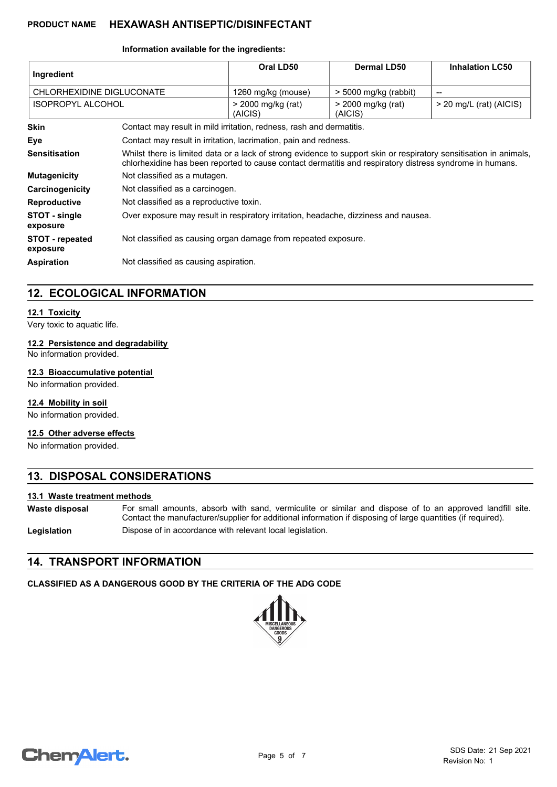#### **Information available for the ingredients:**

| Ingredient                         |                                                                                                                                                                                                                                | Oral LD50                                                            | Dermal LD50                   | <b>Inhalation LC50</b>    |
|------------------------------------|--------------------------------------------------------------------------------------------------------------------------------------------------------------------------------------------------------------------------------|----------------------------------------------------------------------|-------------------------------|---------------------------|
| CHLORHEXIDINE DIGLUCONATE          |                                                                                                                                                                                                                                | 1260 mg/kg (mouse)                                                   | $>$ 5000 mg/kg (rabbit)       | --                        |
| <b>ISOPROPYL ALCOHOL</b>           |                                                                                                                                                                                                                                | > 2000 mg/kg (rat)<br>(AICIS)                                        | > 2000 mg/kg (rat)<br>(AICIS) | $>$ 20 mg/L (rat) (AICIS) |
| <b>Skin</b>                        |                                                                                                                                                                                                                                | Contact may result in mild irritation, redness, rash and dermatitis. |                               |                           |
| Eye                                |                                                                                                                                                                                                                                | Contact may result in irritation, lacrimation, pain and redness.     |                               |                           |
| <b>Sensitisation</b>               | Whilst there is limited data or a lack of strong evidence to support skin or respiratory sensitisation in animals,<br>chlorhexidine has been reported to cause contact dermatitis and respiratory distress syndrome in humans. |                                                                      |                               |                           |
| <b>Mutagenicity</b>                | Not classified as a mutagen.                                                                                                                                                                                                   |                                                                      |                               |                           |
| Carcinogenicity                    | Not classified as a carcinogen.                                                                                                                                                                                                |                                                                      |                               |                           |
| <b>Reproductive</b>                | Not classified as a reproductive toxin.                                                                                                                                                                                        |                                                                      |                               |                           |
| STOT - single<br>exposure          | Over exposure may result in respiratory irritation, headache, dizziness and nausea.                                                                                                                                            |                                                                      |                               |                           |
| <b>STOT</b> - repeated<br>exposure | Not classified as causing organ damage from repeated exposure.                                                                                                                                                                 |                                                                      |                               |                           |
| <b>Aspiration</b>                  | Not classified as causing aspiration.                                                                                                                                                                                          |                                                                      |                               |                           |

## **12. ECOLOGICAL INFORMATION**

#### **12.1 Toxicity**

Very toxic to aquatic life.

#### **12.2 Persistence and degradability**

No information provided.

#### **12.3 Bioaccumulative potential**

No information provided.

#### **12.4 Mobility in soil**

No information provided.

#### **12.5 Other adverse effects**

No information provided.

## **13. DISPOSAL CONSIDERATIONS**

#### **13.1 Waste treatment methods**

For small amounts, absorb with sand, vermiculite or similar and dispose of to an approved landfill site. Contact the manufacturer/supplier for additional information if disposing of large quantities (if required). **Waste disposal**

**Legislation** Dispose of in accordance with relevant local legislation.

## **14. TRANSPORT INFORMATION**

## **CLASSIFIED AS A DANGEROUS GOOD BY THE CRITERIA OF THE ADG CODE**



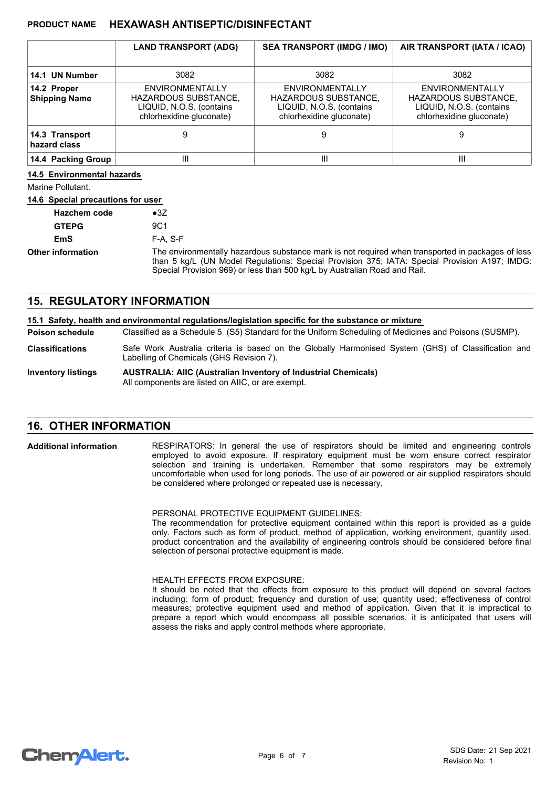|                                     | <b>LAND TRANSPORT (ADG)</b>                                                                            | <b>SEA TRANSPORT (IMDG / IMO)</b>                                                                      | AIR TRANSPORT (IATA / ICAO)                                                                            |
|-------------------------------------|--------------------------------------------------------------------------------------------------------|--------------------------------------------------------------------------------------------------------|--------------------------------------------------------------------------------------------------------|
| 14.1 UN Number                      | 3082                                                                                                   | 3082                                                                                                   | 3082                                                                                                   |
| 14.2 Proper<br><b>Shipping Name</b> | <b>ENVIRONMENTALLY</b><br>HAZARDOUS SUBSTANCE,<br>LIQUID, N.O.S. (contains<br>chlorhexidine gluconate) | ENVIRONMENTALLY<br><b>HAZARDOUS SUBSTANCE,</b><br>LIQUID, N.O.S. (contains<br>chlorhexidine gluconate) | ENVIRONMENTALLY<br><b>HAZARDOUS SUBSTANCE,</b><br>LIQUID, N.O.S. (contains<br>chlorhexidine gluconate) |
| 14.3 Transport<br>hazard class      | 9                                                                                                      | 9                                                                                                      | 9                                                                                                      |
| 14.4 Packing Group                  | Ш                                                                                                      | Ш                                                                                                      | Ш                                                                                                      |

#### **14.5 Environmental hazards**

Marine Pollutant.

#### **14.6 Special precautions for user**

| <b>Hazchem code</b>      | $\bullet$ 3Z                                                                                                                                                                                                                                                                    |
|--------------------------|---------------------------------------------------------------------------------------------------------------------------------------------------------------------------------------------------------------------------------------------------------------------------------|
| <b>GTEPG</b>             | 9C1                                                                                                                                                                                                                                                                             |
| <b>EmS</b>               | $F-A. S-F$                                                                                                                                                                                                                                                                      |
| <b>Other information</b> | The environmentally hazardous substance mark is not required when transported in packages of less<br>than 5 kg/L (UN Model Regulations: Special Provision 375; IATA: Special Provision A197; IMDG:<br>Special Provision 969) or less than 500 kg/L by Australian Road and Rail. |

### **15. REGULATORY INFORMATION**

|                           | 15.1 Safety, health and environmental regulations/legislation specific for the substance or mixture                                             |  |
|---------------------------|-------------------------------------------------------------------------------------------------------------------------------------------------|--|
| Poison schedule           | Classified as a Schedule 5 (S5) Standard for the Uniform Scheduling of Medicines and Poisons (SUSMP).                                           |  |
| <b>Classifications</b>    | Safe Work Australia criteria is based on the Globally Harmonised System (GHS) of Classification and<br>Labelling of Chemicals (GHS Revision 7). |  |
| <b>Inventory listings</b> | <b>AUSTRALIA: AIIC (Australian Inventory of Industrial Chemicals)</b><br>All components are listed on AIIC, or are exempt.                      |  |

## **16. OTHER INFORMATION**

RESPIRATORS: In general the use of respirators should be limited and engineering controls employed to avoid exposure. If respiratory equipment must be worn ensure correct respirator selection and training is undertaken. Remember that some respirators may be extremely uncomfortable when used for long periods. The use of air powered or air supplied respirators should be considered where prolonged or repeated use is necessary. **Additional information**

PERSONAL PROTECTIVE EQUIPMENT GUIDELINES:

The recommendation for protective equipment contained within this report is provided as a guide only. Factors such as form of product, method of application, working environment, quantity used, product concentration and the availability of engineering controls should be considered before final selection of personal protective equipment is made.

#### HEALTH EFFECTS FROM EXPOSURE:

It should be noted that the effects from exposure to this product will depend on several factors including: form of product; frequency and duration of use; quantity used; effectiveness of control measures; protective equipment used and method of application. Given that it is impractical to prepare a report which would encompass all possible scenarios, it is anticipated that users will assess the risks and apply control methods where appropriate.